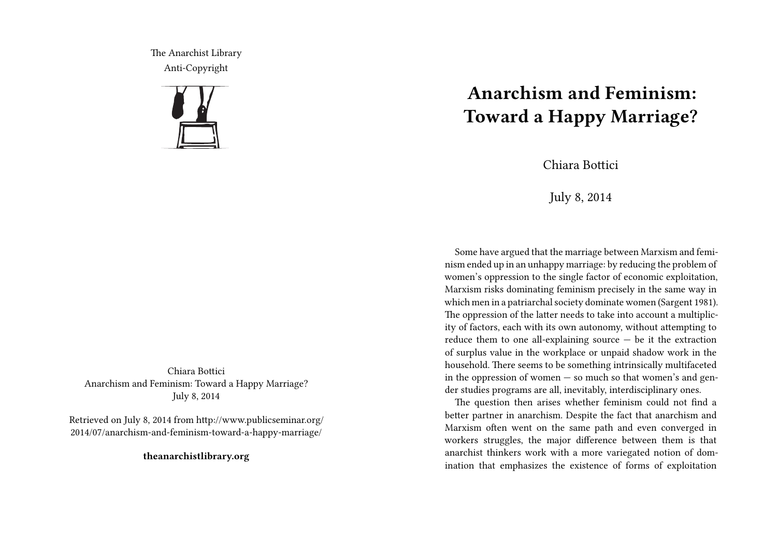The Anarchist Library Anti-Copyright



Chiara Bottici Anarchism and Feminism: Toward a Happy Marriage? July 8, 2014

Retrieved on July 8, 2014 from http://www.publicseminar.org/ 2014/07/anarchism-and-feminism-toward-a-happy-marriage/

**theanarchistlibrary.org**

## **Anarchism and Feminism: Toward a Happy Marriage?**

Chiara Bottici

July 8, 2014

Some have argued that the marriage between Marxism and feminism ended up in an unhappy marriage: by reducing the problem of women's oppression to the single factor of economic exploitation, Marxism risks dominating feminism precisely in the same way in which men in a patriarchal society dominate women (Sargent 1981). The oppression of the latter needs to take into account a multiplicity of factors, each with its own autonomy, without attempting to reduce them to one all-explaining source  $-$  be it the extraction of surplus value in the workplace or unpaid shadow work in the household. There seems to be something intrinsically multifaceted in the oppression of women  $-$  so much so that women's and gender studies programs are all, inevitably, interdisciplinary ones.

The question then arises whether feminism could not find a better partner in anarchism. Despite the fact that anarchism and Marxism often went on the same path and even converged in workers struggles, the major difference between them is that anarchist thinkers work with a more variegated notion of domination that emphasizes the existence of forms of exploitation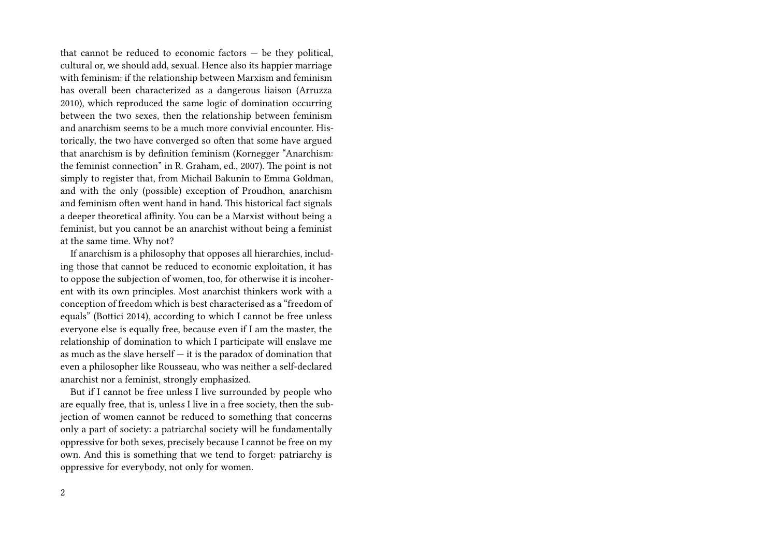that cannot be reduced to economic factors — be they political, cultural or, we should add, sexual. Hence also its happier marriage with feminism: if the relationship between Marxism and feminism has overall been characterized as a dangerous liaison (Arruzza 2010), which reproduced the same logic of domination occurring between the two sexes, then the relationship between feminism and anarchism seems to be a much more convivial encounter. Historically, the two have converged so often that some have argued that anarchism is by definition feminism (Kornegger "Anarchism: the feminist connection" in R. Graham, ed., 2007). The point is not simply to register that, from Michail Bakunin to Emma Goldman, and with the only (possible) exception of Proudhon, anarchism and feminism often went hand in hand. This historical fact signals a deeper theoretical affinity. You can be a Marxist without being a feminist, but you cannot be an anarchist without being a feminist at the same time. Why not?

If anarchism is a philosophy that opposes all hierarchies, including those that cannot be reduced to economic exploitation, it has to oppose the subjection of women, too, for otherwise it is incoherent with its own principles. Most anarchist thinkers work with a conception of freedom which is best characterised as a "freedom of equals" (Bottici 2014), according to which I cannot be free unless everyone else is equally free, because even if I am the master, the relationship of domination to which I participate will enslave me as much as the slave herself  $-$  it is the paradox of domination that even a philosopher like Rousseau, who was neither a self-declared anarchist nor a feminist, strongly emphasized.

But if I cannot be free unless I live surrounded by people who are equally free, that is, unless I live in a free society, then the subjection of women cannot be reduced to something that concerns only a part of society: a patriarchal society will be fundamentally oppressive for both sexes, precisely because I cannot be free on my own. And this is something that we tend to forget: patriarchy is oppressive for everybody, not only for women.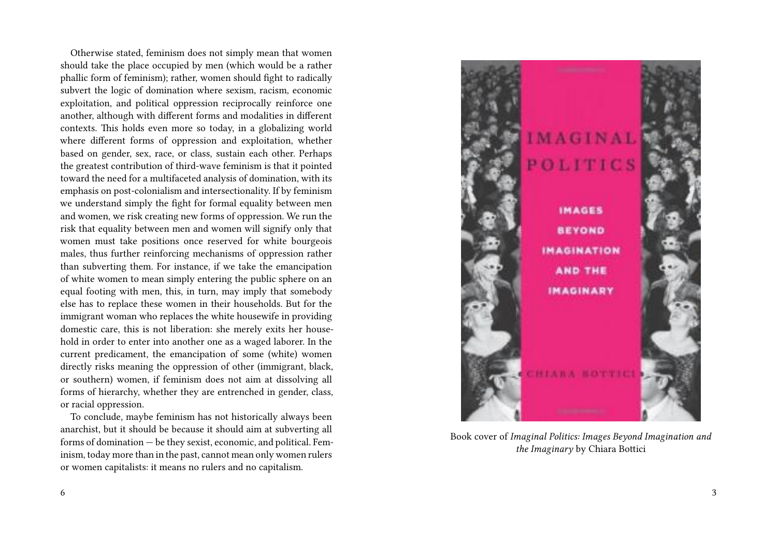Otherwise stated, feminism does not simply mean that women should take the place occupied by men (which would be a rather phallic form of feminism); rather, women should fight to radically subvert the logic of domination where sexism, racism, economic exploitation, and political oppression reciprocally reinforce one another, although with different forms and modalities in different contexts. This holds even more so today, in a globalizing world where different forms of oppression and exploitation, whether based on gender, sex, race, or class, sustain each other. Perhaps the greatest contribution of third-wave feminism is that it pointed toward the need for a multifaceted analysis of domination, with its emphasis on post-colonialism and intersectionality. If by feminism we understand simply the fight for formal equality between men and women, we risk creating new forms of oppression. We run the risk that equality between men and women will signify only that women must take positions once reserved for white bourgeois males, thus further reinforcing mechanisms of oppression rather than subverting them. For instance, if we take the emancipation of white women to mean simply entering the public sphere on an equal footing with men, this, in turn, may imply that somebody else has to replace these women in their households. But for the immigrant woman who replaces the white housewife in providing domestic care, this is not liberation: she merely exits her household in order to enter into another one as a waged laborer. In the current predicament, the emancipation of some (white) women directly risks meaning the oppression of other (immigrant, black, or southern) women, if feminism does not aim at dissolving all forms of hierarchy, whether they are entrenched in gender, class, or racial oppression.

To conclude, maybe feminism has not historically always been anarchist, but it should be because it should aim at subverting all forms of domination — be they sexist, economic, and political. Feminism, today more than in the past, cannot mean only women rulers or women capitalists: it means no rulers and no capitalism.



Book cover of *Imaginal Politics: Images Beyond Imagination and the Imaginary* by Chiara Bottici